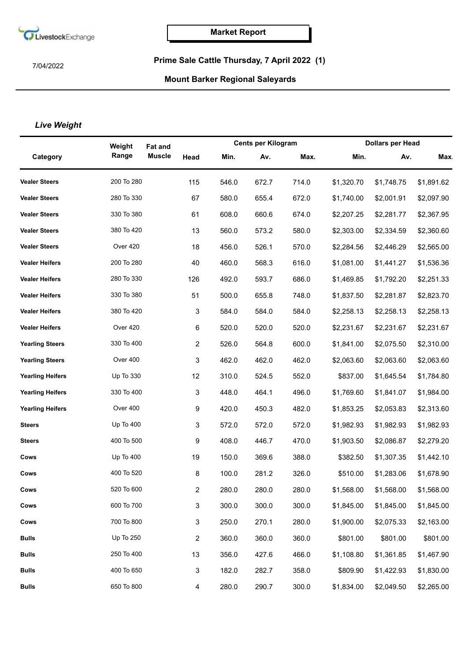

7/04/2022

## **Prime Sale Cattle Thursday, 7 April 2022 (1)**

## **Mount Barker Regional Saleyards**

## *Live Weight*

|                         | Weight<br>Range | <b>Fat and</b> |                |       | <b>Cents per Kilogram</b> |       | <b>Dollars per Head</b> |            |            |
|-------------------------|-----------------|----------------|----------------|-------|---------------------------|-------|-------------------------|------------|------------|
| Category                |                 | <b>Muscle</b>  | Head           | Min.  | Av.                       | Max.  | Min.                    | Av.        | <b>Max</b> |
| <b>Vealer Steers</b>    | 200 To 280      |                | 115            | 546.0 | 672.7                     | 714.0 | \$1,320.70              | \$1,748.75 | \$1,891.62 |
| <b>Vealer Steers</b>    | 280 To 330      |                | 67             | 580.0 | 655.4                     | 672.0 | \$1,740.00              | \$2,001.91 | \$2,097.90 |
| <b>Vealer Steers</b>    | 330 To 380      |                | 61             | 608.0 | 660.6                     | 674.0 | \$2,207.25              | \$2,281.77 | \$2,367.95 |
| <b>Vealer Steers</b>    | 380 To 420      |                | 13             | 560.0 | 573.2                     | 580.0 | \$2,303.00              | \$2,334.59 | \$2,360.60 |
| <b>Vealer Steers</b>    | Over 420        |                | 18             | 456.0 | 526.1                     | 570.0 | \$2,284.56              | \$2,446.29 | \$2,565.00 |
| <b>Vealer Heifers</b>   | 200 To 280      |                | 40             | 460.0 | 568.3                     | 616.0 | \$1,081.00              | \$1,441.27 | \$1,536.36 |
| <b>Vealer Heifers</b>   | 280 To 330      |                | 126            | 492.0 | 593.7                     | 686.0 | \$1,469.85              | \$1,792.20 | \$2,251.33 |
| <b>Vealer Heifers</b>   | 330 To 380      |                | 51             | 500.0 | 655.8                     | 748.0 | \$1,837.50              | \$2,281.87 | \$2,823.70 |
| <b>Vealer Heifers</b>   | 380 To 420      |                | 3              | 584.0 | 584.0                     | 584.0 | \$2,258.13              | \$2,258.13 | \$2,258.13 |
| <b>Vealer Heifers</b>   | Over 420        |                | 6              | 520.0 | 520.0                     | 520.0 | \$2,231.67              | \$2,231.67 | \$2,231.67 |
| <b>Yearling Steers</b>  | 330 To 400      |                | $\overline{2}$ | 526.0 | 564.8                     | 600.0 | \$1,841.00              | \$2,075.50 | \$2,310.00 |
| <b>Yearling Steers</b>  | Over 400        |                | 3              | 462.0 | 462.0                     | 462.0 | \$2,063.60              | \$2,063.60 | \$2,063.60 |
| <b>Yearling Heifers</b> | Up To 330       |                | 12             | 310.0 | 524.5                     | 552.0 | \$837.00                | \$1,645.54 | \$1,784.80 |
| <b>Yearling Heifers</b> | 330 To 400      |                | 3              | 448.0 | 464.1                     | 496.0 | \$1,769.60              | \$1,841.07 | \$1,984.00 |
| <b>Yearling Heifers</b> | Over 400        |                | 9              | 420.0 | 450.3                     | 482.0 | \$1,853.25              | \$2,053.83 | \$2,313.60 |
| <b>Steers</b>           | Up To 400       |                | 3              | 572.0 | 572.0                     | 572.0 | \$1,982.93              | \$1,982.93 | \$1,982.93 |
| <b>Steers</b>           | 400 To 500      |                | 9              | 408.0 | 446.7                     | 470.0 | \$1,903.50              | \$2,086.87 | \$2,279.20 |
| Cows                    | Up To 400       |                | 19             | 150.0 | 369.6                     | 388.0 | \$382.50                | \$1,307.35 | \$1,442.10 |
| Cows                    | 400 To 520      |                | 8              | 100.0 | 281.2                     | 326.0 | \$510.00                | \$1,283.06 | \$1,678.90 |
| Cows                    | 520 To 600      |                | 2              | 280.0 | 280.0                     | 280.0 | \$1,568.00              | \$1,568.00 | \$1,568.00 |
| Cows                    | 600 To 700      |                | 3              | 300.0 | 300.0                     | 300.0 | \$1,845.00              | \$1,845.00 | \$1,845.00 |
| Cows                    | 700 To 800      |                | $\sqrt{3}$     | 250.0 | 270.1                     | 280.0 | \$1,900.00              | \$2,075.33 | \$2,163.00 |
| <b>Bulls</b>            | Up To 250       |                | $\overline{c}$ | 360.0 | 360.0                     | 360.0 | \$801.00                | \$801.00   | \$801.00   |
| <b>Bulls</b>            | 250 To 400      |                | 13             | 356.0 | 427.6                     | 466.0 | \$1,108.80              | \$1,361.85 | \$1,467.90 |
| <b>Bulls</b>            | 400 To 650      |                | 3              | 182.0 | 282.7                     | 358.0 | \$809.90                | \$1,422.93 | \$1,830.00 |
| <b>Bulls</b>            | 650 To 800      |                | $\overline{4}$ | 280.0 | 290.7                     | 300.0 | \$1,834.00              | \$2,049.50 | \$2,265.00 |